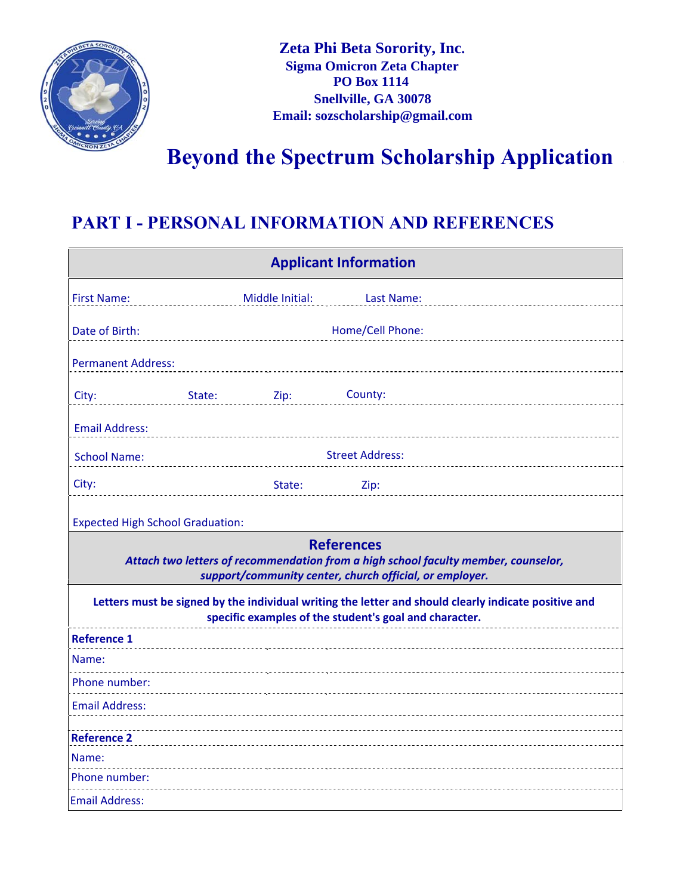

# **Beyond the Spectrum Scholarship Application**

#### **PART I - PERSONAL INFORMATION AND REFERENCES**

| <b>Applicant Information</b>                                                                                                                                       |        |                 |                        |  |
|--------------------------------------------------------------------------------------------------------------------------------------------------------------------|--------|-----------------|------------------------|--|
| <b>First Name:</b>                                                                                                                                                 |        | Middle Initial: | Last Name:             |  |
| Date of Birth:                                                                                                                                                     |        |                 | Home/Cell Phone:       |  |
| <b>Permanent Address:</b>                                                                                                                                          |        |                 |                        |  |
| City:                                                                                                                                                              | State: | Zip:            | County:                |  |
| <b>Email Address:</b>                                                                                                                                              |        |                 |                        |  |
| <b>School Name:</b>                                                                                                                                                |        |                 | <b>Street Address:</b> |  |
| City:                                                                                                                                                              |        | State:          | Zip:                   |  |
| <b>Expected High School Graduation:</b>                                                                                                                            |        |                 |                        |  |
| <b>References</b><br>Attach two letters of recommendation from a high school faculty member, counselor,<br>support/community center, church official, or employer. |        |                 |                        |  |
| Letters must be signed by the individual writing the letter and should clearly indicate positive and<br>specific examples of the student's goal and character.     |        |                 |                        |  |
| <b>Reference 1</b>                                                                                                                                                 |        |                 |                        |  |
| Name:                                                                                                                                                              |        |                 |                        |  |
| Phone number:                                                                                                                                                      |        |                 |                        |  |
| <b>Email Address:</b>                                                                                                                                              |        |                 |                        |  |
| <b>Reference 2</b>                                                                                                                                                 |        |                 |                        |  |
| Name:                                                                                                                                                              |        |                 |                        |  |
| Phone number:                                                                                                                                                      |        |                 |                        |  |
| <b>Email Address:</b>                                                                                                                                              |        |                 |                        |  |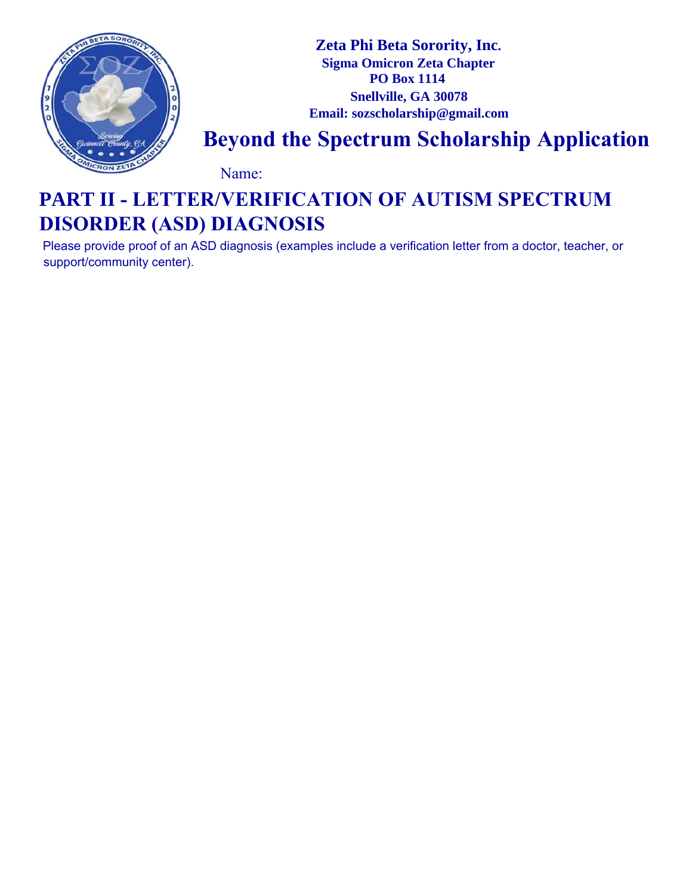

**Zeta Phi Beta Sorority, Inc. Sigma Omicron Zeta Chapter PO Box 1114 Snellville, GA 30078 Email: sozscholarship@gmail.com** 

## **Beyond the Spectrum Scholarship Application**

Name:

### **PART II - LETTER/VERIFICATION OF AUTISM SPECTRUM DISORDER (ASD) DIAGNOSIS**

Please provide proof of an ASD diagnosis (examples include a verification letter from a doctor, teacher, or support/community center).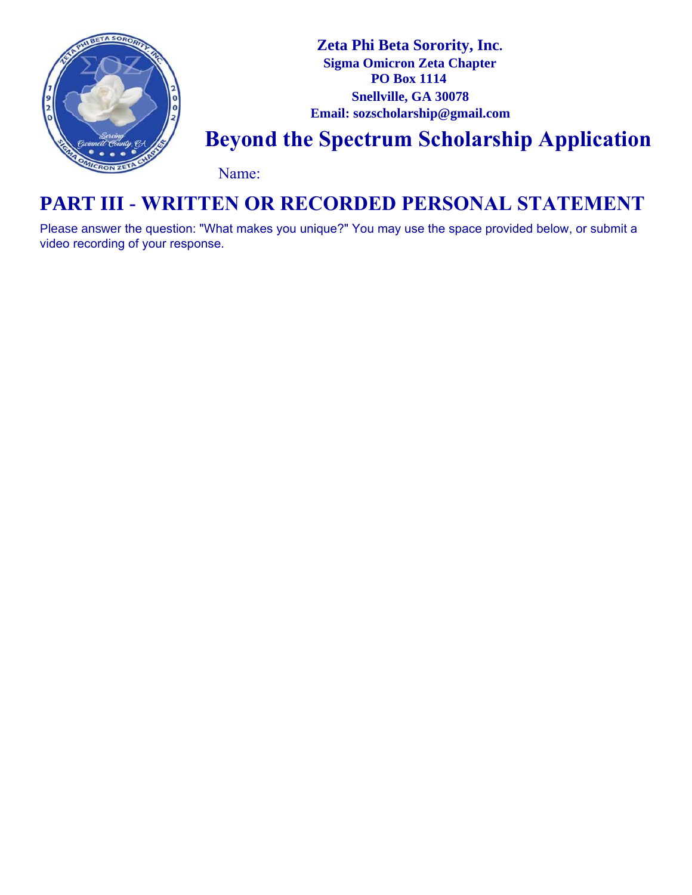

#### **PART III - WRITTEN OR RECORDED PERSONAL STATEMENT**

Please answer the question: "What makes you unique?" You may use the space provided below, or submit a video recording of your response.